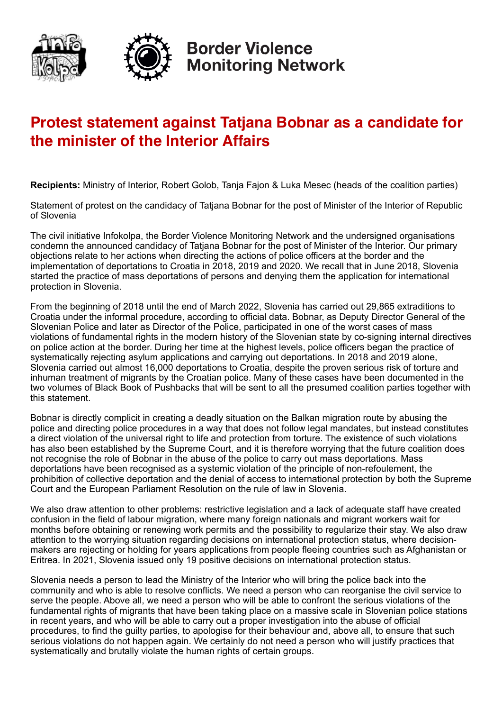



**Border Violence Monitoring Network** 

## **Protest statement against Tatjana Bobnar as a candidate for the minister of the Interior Affairs**

**Recipients:** Ministry of Interior, Robert Golob, Tanja Fajon & Luka Mesec (heads of the coalition parties)

Statement of protest on the candidacy of Tatjana Bobnar for the post of Minister of the Interior of Republic of Slovenia

The civil initiative Infokolpa, the Border Violence Monitoring Network and the undersigned organisations condemn the announced candidacy of Tatjana Bobnar for the post of Minister of the Interior. Our primary objections relate to her actions when directing the actions of police officers at the border and the implementation of deportations to Croatia in 2018, 2019 and 2020. We recall that in June 2018, Slovenia started the practice of mass deportations of persons and denying them the application for international protection in Slovenia.

From the beginning of 2018 until the end of March 2022, Slovenia has carried out 29,865 extraditions to Croatia under the informal procedure, according to official data. Bobnar, as Deputy Director General of the Slovenian Police and later as Director of the Police, participated in one of the worst cases of mass violations of fundamental rights in the modern history of the Slovenian state by co-signing internal directives on police action at the border. During her time at the highest levels, police officers began the practice of systematically rejecting asylum applications and carrying out deportations. In 2018 and 2019 alone, Slovenia carried out almost 16,000 deportations to Croatia, despite the proven serious risk of torture and inhuman treatment of migrants by the Croatian police. Many of these cases have been documented in the two volumes of Black Book of Pushbacks that will be sent to all the presumed coalition parties together with this statement.

Bobnar is directly complicit in creating a deadly situation on the Balkan migration route by abusing the police and directing police procedures in a way that does not follow legal mandates, but instead constitutes a direct violation of the universal right to life and protection from torture. The existence of such violations has also been established by the Supreme Court, and it is therefore worrying that the future coalition does not recognise the role of Bobnar in the abuse of the police to carry out mass deportations. Mass deportations have been recognised as a systemic violation of the principle of non-refoulement, the prohibition of collective deportation and the denial of access to international protection by both the Supreme Court and the European Parliament Resolution on the rule of law in Slovenia.

We also draw attention to other problems: restrictive legislation and a lack of adequate staff have created confusion in the field of labour migration, where many foreign nationals and migrant workers wait for months before obtaining or renewing work permits and the possibility to regularize their stay. We also draw attention to the worrying situation regarding decisions on international protection status, where decisionmakers are rejecting or holding for years applications from people fleeing countries such as Afghanistan or Eritrea. In 2021, Slovenia issued only 19 positive decisions on international protection status.

Slovenia needs a person to lead the Ministry of the Interior who will bring the police back into the community and who is able to resolve conflicts. We need a person who can reorganise the civil service to serve the people. Above all, we need a person who will be able to confront the serious violations of the fundamental rights of migrants that have been taking place on a massive scale in Slovenian police stations in recent years, and who will be able to carry out a proper investigation into the abuse of official procedures, to find the guilty parties, to apologise for their behaviour and, above all, to ensure that such serious violations do not happen again. We certainly do not need a person who will justify practices that systematically and brutally violate the human rights of certain groups.